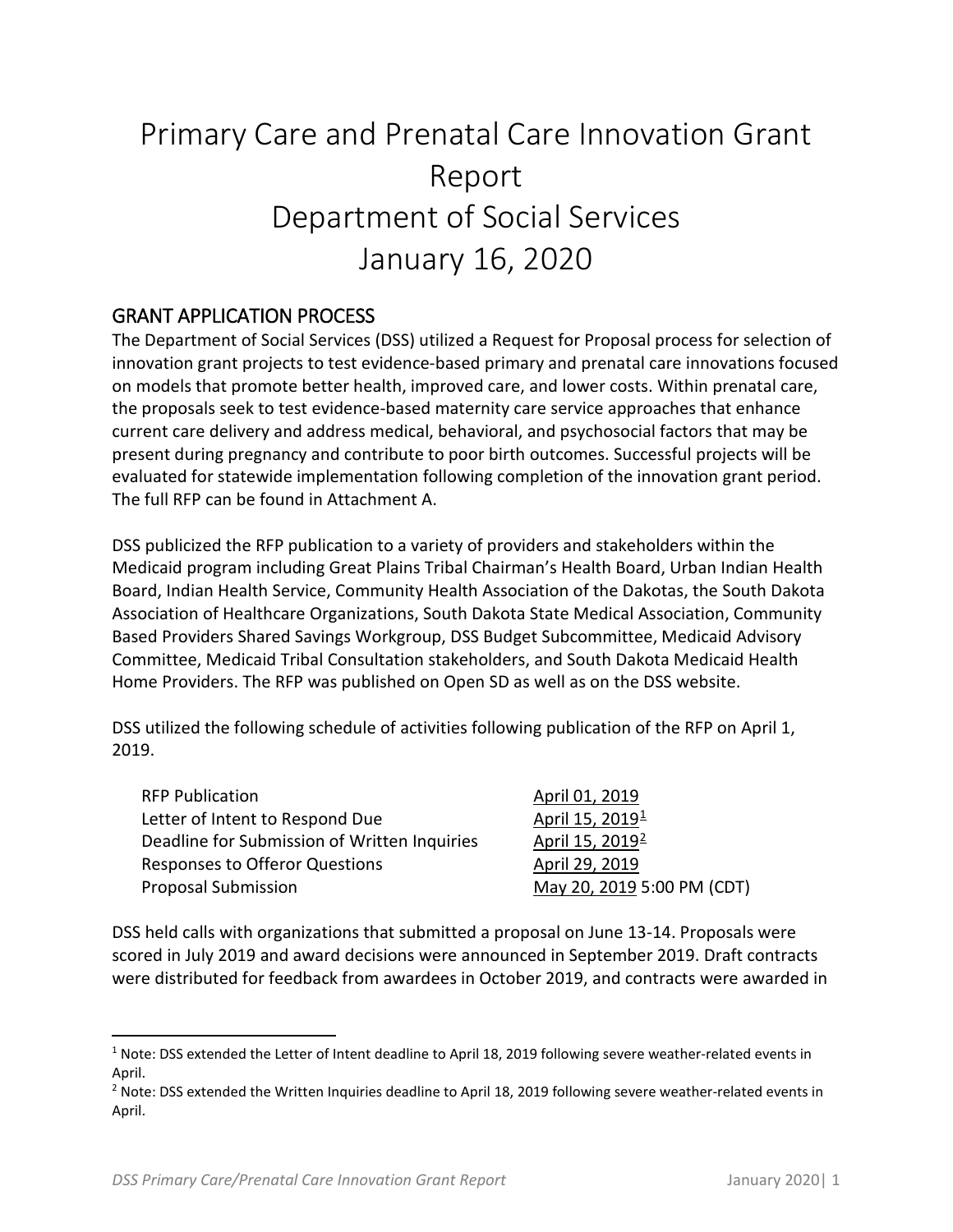# Primary Care and Prenatal Care Innovation Grant Report Department of Social Services January 16, 2020

### GRANT APPLICATION PROCESS

The Department of Social Services (DSS) utilized a Request for Proposal process for selection of innovation grant projects to test evidence-based primary and prenatal care innovations focused on models that promote better health, improved care, and lower costs. Within prenatal care, the proposals seek to test evidence-based maternity care service approaches that enhance current care delivery and address medical, behavioral, and psychosocial factors that may be present during pregnancy and contribute to poor birth outcomes. Successful projects will be evaluated for statewide implementation following completion of the innovation grant period. The full RFP can be found in Attachment A.

DSS publicized the RFP publication to a variety of providers and stakeholders within the Medicaid program including Great Plains Tribal Chairman's Health Board, Urban Indian Health Board, Indian Health Service, Community Health Association of the Dakotas, the South Dakota Association of Healthcare Organizations, South Dakota State Medical Association, Community Based Providers Shared Savings Workgroup, DSS Budget Subcommittee, Medicaid Advisory Committee, Medicaid Tribal Consultation stakeholders, and South Dakota Medicaid Health Home Providers. The RFP was published on Open SD as well as on the DSS website.

DSS utilized the following schedule of activities following publication of the RFP on April 1, 2019.

| <b>RFP Publication</b>                       | April 01, 2019              |
|----------------------------------------------|-----------------------------|
| Letter of Intent to Respond Due              | April 15, 2019 <sup>1</sup> |
| Deadline for Submission of Written Inquiries | April 15, 2019 <sup>2</sup> |
| Responses to Offeror Questions               | April 29, 2019              |
| <b>Proposal Submission</b>                   | May 20, 2019 5:00 PM (CDT)  |

DSS held calls with organizations that submitted a proposal on June 13-14. Proposals were scored in July 2019 and award decisions were announced in September 2019. Draft contracts were distributed for feedback from awardees in October 2019, and contracts were awarded in

<span id="page-0-0"></span><sup>&</sup>lt;sup>1</sup> Note: DSS extended the Letter of Intent deadline to April 18, 2019 following severe weather-related events in April.

<span id="page-0-1"></span><sup>&</sup>lt;sup>2</sup> Note: DSS extended the Written Inquiries deadline to April 18, 2019 following severe weather-related events in April.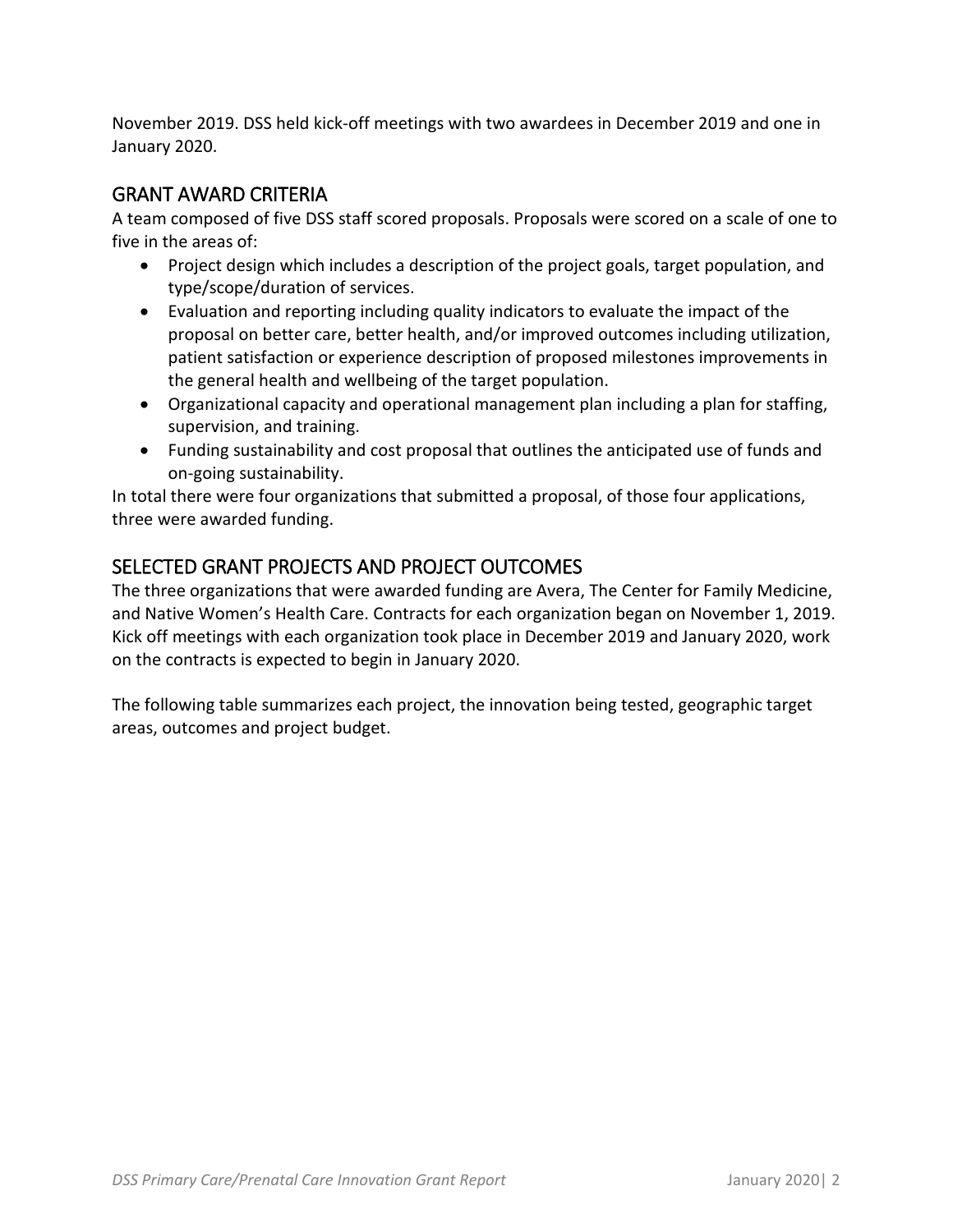November 2019. DSS held kick-off meetings with two awardees in December 2019 and one in January 2020.

### GRANT AWARD CRITERIA

A team composed of five DSS staff scored proposals. Proposals were scored on a scale of one to five in the areas of:

- Project design which includes a description of the project goals, target population, and type/scope/duration of services.
- Evaluation and reporting including quality indicators to evaluate the impact of the proposal on better care, better health, and/or improved outcomes including utilization, patient satisfaction or experience description of proposed milestones improvements in the general health and wellbeing of the target population.
- Organizational capacity and operational management plan including a plan for staffing, supervision, and training.
- Funding sustainability and cost proposal that outlines the anticipated use of funds and on-going sustainability.

In total there were four organizations that submitted a proposal, of those four applications, three were awarded funding.

## SELECTED GRANT PROJECTS AND PROJECT OUTCOMES

The three organizations that were awarded funding are Avera, The Center for Family Medicine, and Native Women's Health Care. Contracts for each organization began on November 1, 2019. Kick off meetings with each organization took place in December 2019 and January 2020, work on the contracts is expected to begin in January 2020.

The following table summarizes each project, the innovation being tested, geographic target areas, outcomes and project budget.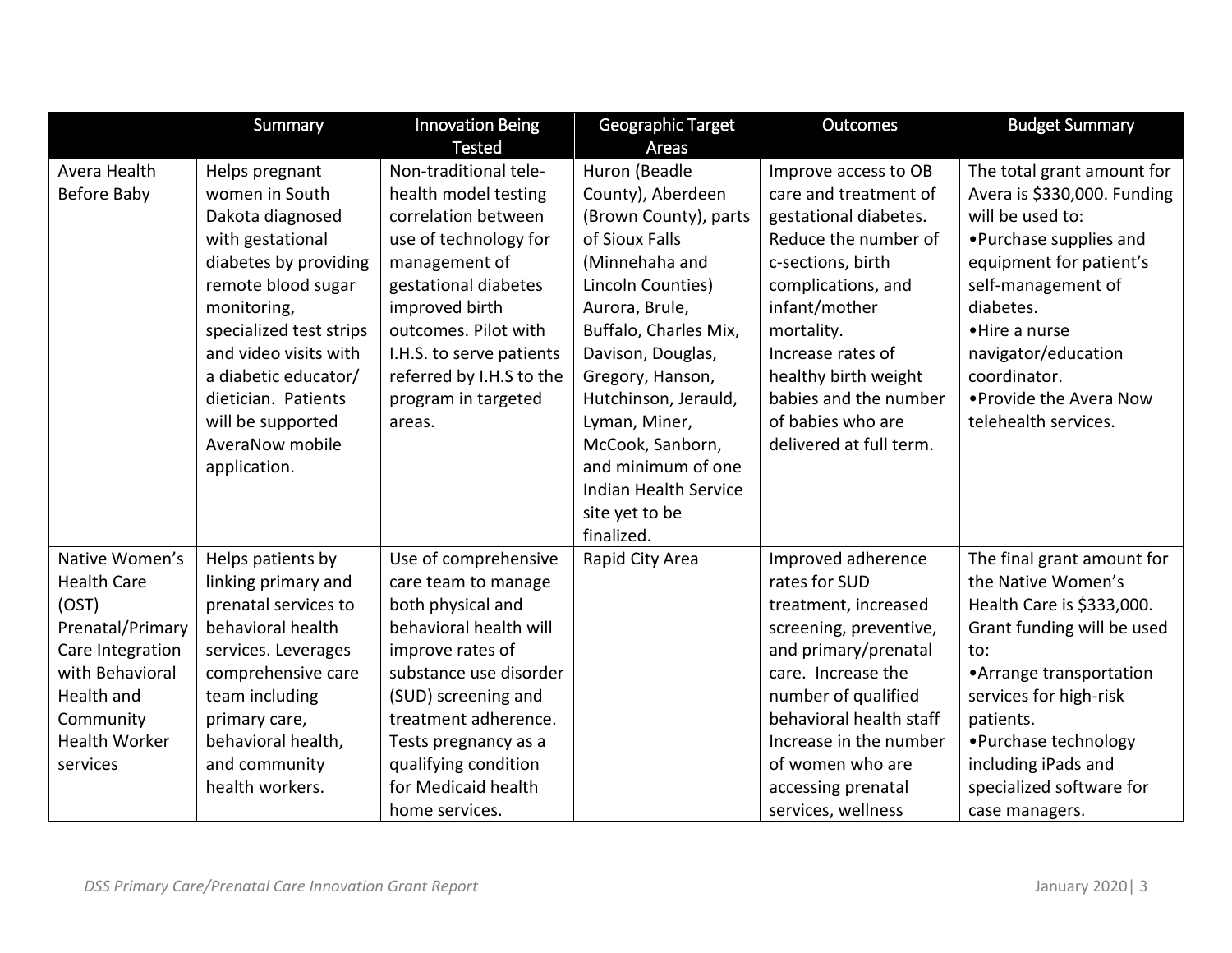|                      | Summary                          | <b>Innovation Being</b>                | Geographic Target                  | <b>Outcomes</b>                               | <b>Budget Summary</b>                                     |
|----------------------|----------------------------------|----------------------------------------|------------------------------------|-----------------------------------------------|-----------------------------------------------------------|
| Avera Health         |                                  | <b>Tested</b><br>Non-traditional tele- | Areas                              |                                               |                                                           |
| Before Baby          | Helps pregnant<br>women in South | health model testing                   | Huron (Beadle<br>County), Aberdeen | Improve access to OB<br>care and treatment of | The total grant amount for<br>Avera is \$330,000. Funding |
|                      | Dakota diagnosed                 | correlation between                    | (Brown County), parts              | gestational diabetes.                         | will be used to:                                          |
|                      | with gestational                 | use of technology for                  | of Sioux Falls                     | Reduce the number of                          | • Purchase supplies and                                   |
|                      | diabetes by providing            | management of                          | (Minnehaha and                     | c-sections, birth                             |                                                           |
|                      | remote blood sugar               | gestational diabetes                   | Lincoln Counties)                  | complications, and                            | equipment for patient's<br>self-management of             |
|                      | monitoring,                      | improved birth                         | Aurora, Brule,                     | infant/mother                                 | diabetes.                                                 |
|                      | specialized test strips          | outcomes. Pilot with                   | Buffalo, Charles Mix,              | mortality.                                    | •Hire a nurse                                             |
|                      | and video visits with            | I.H.S. to serve patients               | Davison, Douglas,                  | Increase rates of                             | navigator/education                                       |
|                      | a diabetic educator/             | referred by I.H.S to the               | Gregory, Hanson,                   | healthy birth weight                          | coordinator.                                              |
|                      | dietician. Patients              | program in targeted                    | Hutchinson, Jerauld,               | babies and the number                         | . Provide the Avera Now                                   |
|                      | will be supported                | areas.                                 | Lyman, Miner,                      | of babies who are                             | telehealth services.                                      |
|                      | AveraNow mobile                  |                                        | McCook, Sanborn,                   | delivered at full term.                       |                                                           |
|                      | application.                     |                                        | and minimum of one                 |                                               |                                                           |
|                      |                                  |                                        | <b>Indian Health Service</b>       |                                               |                                                           |
|                      |                                  |                                        | site yet to be                     |                                               |                                                           |
|                      |                                  |                                        | finalized.                         |                                               |                                                           |
| Native Women's       |                                  |                                        |                                    |                                               |                                                           |
| <b>Health Care</b>   | Helps patients by                | Use of comprehensive                   | Rapid City Area                    | Improved adherence<br>rates for SUD           | The final grant amount for<br>the Native Women's          |
|                      | linking primary and              | care team to manage                    |                                    |                                               |                                                           |
| (OST)                | prenatal services to             | both physical and                      |                                    | treatment, increased                          | Health Care is \$333,000.                                 |
| Prenatal/Primary     | behavioral health                | behavioral health will                 |                                    | screening, preventive,                        | Grant funding will be used                                |
| Care Integration     | services. Leverages              | improve rates of                       |                                    | and primary/prenatal                          | to:                                                       |
| with Behavioral      | comprehensive care               | substance use disorder                 |                                    | care. Increase the                            | • Arrange transportation                                  |
| Health and           | team including                   | (SUD) screening and                    |                                    | number of qualified                           | services for high-risk                                    |
| Community            | primary care,                    | treatment adherence.                   |                                    | behavioral health staff                       | patients.                                                 |
| <b>Health Worker</b> | behavioral health,               | Tests pregnancy as a                   |                                    | Increase in the number                        | • Purchase technology                                     |
| services             | and community                    | qualifying condition                   |                                    | of women who are                              | including iPads and                                       |
|                      | health workers.                  | for Medicaid health                    |                                    | accessing prenatal                            | specialized software for                                  |
|                      |                                  | home services.                         |                                    | services, wellness                            | case managers.                                            |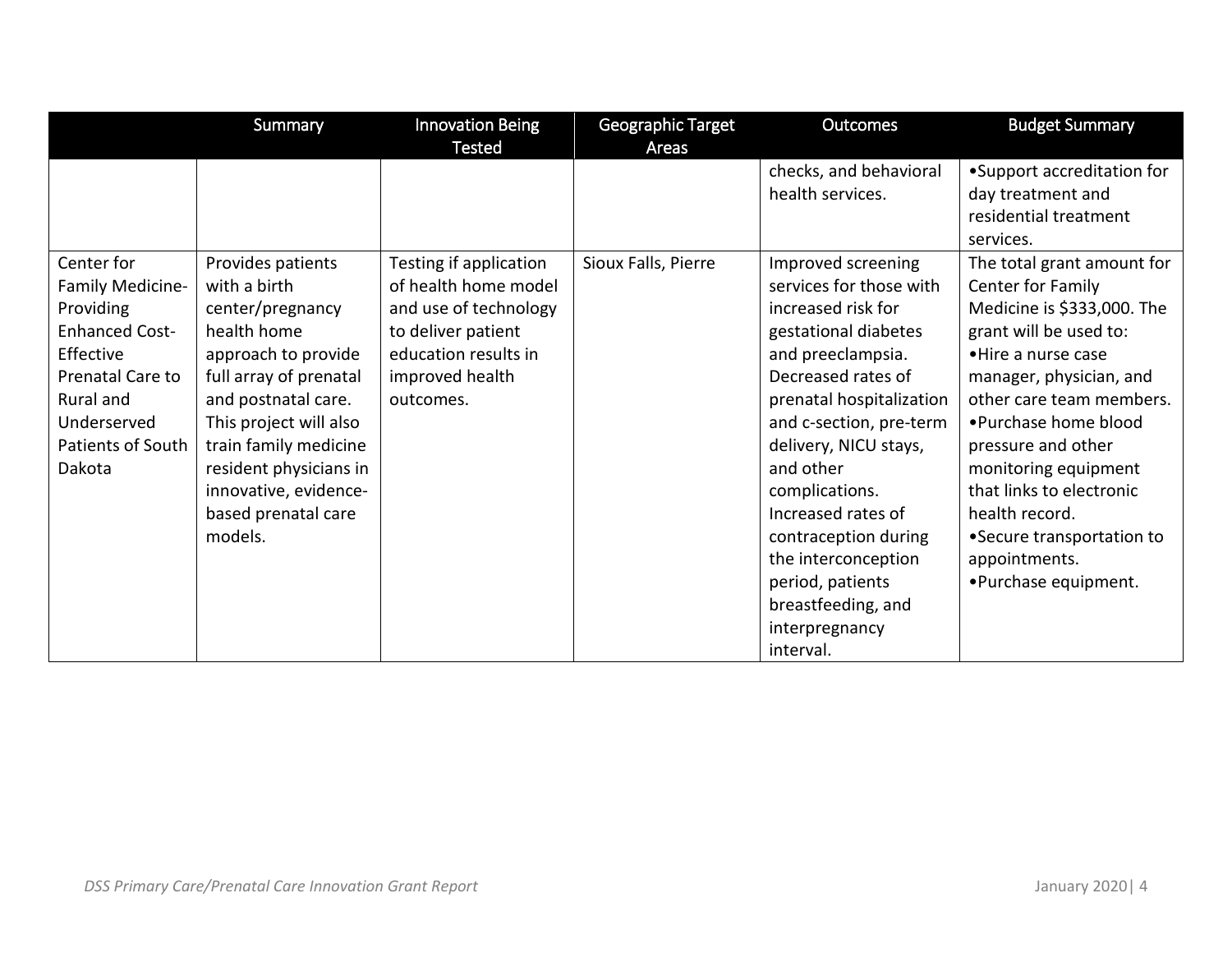|                       | Summary                | <b>Innovation Being</b> | Geographic Target   | Outcomes                 | <b>Budget Summary</b>      |
|-----------------------|------------------------|-------------------------|---------------------|--------------------------|----------------------------|
|                       |                        | <b>Tested</b>           | Areas               |                          |                            |
|                       |                        |                         |                     | checks, and behavioral   | •Support accreditation for |
|                       |                        |                         |                     | health services.         | day treatment and          |
|                       |                        |                         |                     |                          | residential treatment      |
|                       |                        |                         |                     |                          | services.                  |
| Center for            | Provides patients      | Testing if application  | Sioux Falls, Pierre | Improved screening       | The total grant amount for |
| Family Medicine-      | with a birth           | of health home model    |                     | services for those with  | Center for Family          |
| Providing             | center/pregnancy       | and use of technology   |                     | increased risk for       | Medicine is \$333,000. The |
| <b>Enhanced Cost-</b> | health home            | to deliver patient      |                     | gestational diabetes     | grant will be used to:     |
| Effective             | approach to provide    | education results in    |                     | and preeclampsia.        | • Hire a nurse case        |
| Prenatal Care to      | full array of prenatal | improved health         |                     | Decreased rates of       | manager, physician, and    |
| Rural and             | and postnatal care.    | outcomes.               |                     | prenatal hospitalization | other care team members.   |
| Underserved           | This project will also |                         |                     | and c-section, pre-term  | • Purchase home blood      |
| Patients of South     | train family medicine  |                         |                     | delivery, NICU stays,    | pressure and other         |
| Dakota                | resident physicians in |                         |                     | and other                | monitoring equipment       |
|                       | innovative, evidence-  |                         |                     | complications.           | that links to electronic   |
|                       | based prenatal care    |                         |                     | Increased rates of       | health record.             |
|                       | models.                |                         |                     | contraception during     | • Secure transportation to |
|                       |                        |                         |                     | the interconception      | appointments.              |
|                       |                        |                         |                     | period, patients         | •Purchase equipment.       |
|                       |                        |                         |                     | breastfeeding, and       |                            |
|                       |                        |                         |                     | interpregnancy           |                            |
|                       |                        |                         |                     | interval.                |                            |